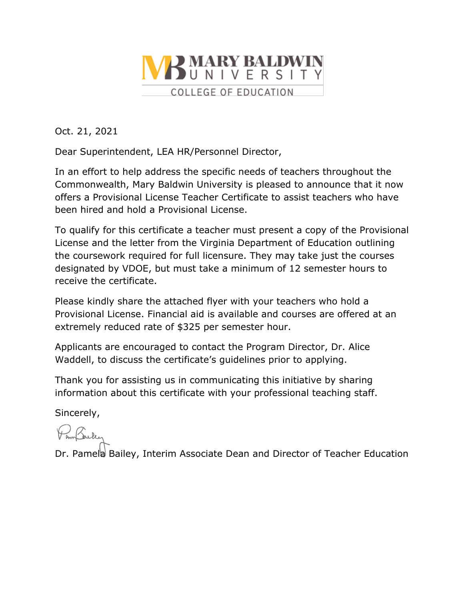

Oct. 21, 2021

Dear Superintendent, LEA HR/Personnel Director,

In an effort to help address the specific needs of teachers throughout the Commonwealth, Mary Baldwin University is pleased to announce that it now offers a Provisional License Teacher Certificate to assist teachers who have been hired and hold a Provisional License.

To qualify for this certificate a teacher must present a copy of the Provisional License and the letter from the Virginia Department of Education outlining the coursework required for full licensure. They may take just the courses designated by VDOE, but must take a minimum of 12 semester hours to receive the certificate.

Please kindly share the attached flyer with your teachers who hold a Provisional License. Financial aid is available and courses are offered at an extremely reduced rate of \$325 per semester hour.

Applicants are encouraged to contact the Program Director, Dr. Alice Waddell, to discuss the certificate's guidelines prior to applying.

Thank you for assisting us in communicating this initiative by sharing information about this certificate with your professional teaching staff.

Sincerely,

PomBarker

Dr. Pamela Bailey, Interim Associate Dean and Director of Teacher Education